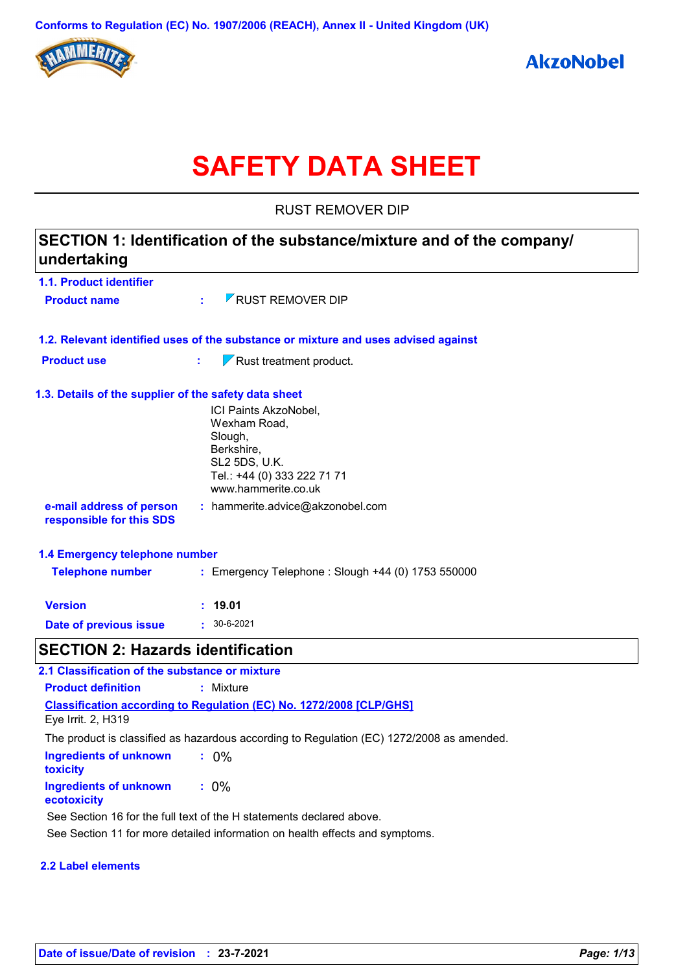

# **SAFETY DATA SHEET**

RUST REMOVER DIP

| SECTION 1: Identification of the substance/mixture and of the company/<br>undertaking |                                                                                                                                       |  |
|---------------------------------------------------------------------------------------|---------------------------------------------------------------------------------------------------------------------------------------|--|
| 1.1. Product identifier                                                               |                                                                                                                                       |  |
| <b>Product name</b>                                                                   | <b>Z RUST REMOVER DIP</b><br>÷.                                                                                                       |  |
|                                                                                       | 1.2. Relevant identified uses of the substance or mixture and uses advised against                                                    |  |
| <b>Product use</b>                                                                    | $\nabla$ Rust treatment product.<br>t.                                                                                                |  |
| 1.3. Details of the supplier of the safety data sheet                                 |                                                                                                                                       |  |
|                                                                                       | ICI Paints AkzoNobel,<br>Wexham Road,<br>Slough,<br>Berkshire,<br>SL2 5DS, U.K.<br>Tel.: +44 (0) 333 222 71 71<br>www.hammerite.co.uk |  |
| e-mail address of person<br>responsible for this SDS                                  | : hammerite.advice@akzonobel.com                                                                                                      |  |
| 1.4 Emergency telephone number                                                        |                                                                                                                                       |  |
| <b>Telephone number</b>                                                               | : Emergency Telephone : Slough +44 (0) 1753 550000                                                                                    |  |
| <b>Version</b>                                                                        | : 19.01                                                                                                                               |  |
| Date of previous issue                                                                | $\cdot$ 30-6-2021                                                                                                                     |  |
| <b>SECTION 2: Hazards identification</b>                                              |                                                                                                                                       |  |
| 2.1 Classification of the substance or mixture                                        |                                                                                                                                       |  |
| <b>Product definition</b>                                                             | : Mixture                                                                                                                             |  |
|                                                                                       | <b>Classification according to Regulation (EC) No. 1272/2008 [CLP/GHS]</b>                                                            |  |
| Eye Irrit. 2, H319                                                                    |                                                                                                                                       |  |

The product is classified as hazardous according to Regulation (EC) 1272/2008 as amended.

| Ingredients of unknown<br>toxicity    | $: 0\%$ |  |
|---------------------------------------|---------|--|
| Ingredients of unknown<br>ecotoxicity | $: 0\%$ |  |

See Section 16 for the full text of the H statements declared above.

See Section 11 for more detailed information on health effects and symptoms.

#### **2.2 Label elements**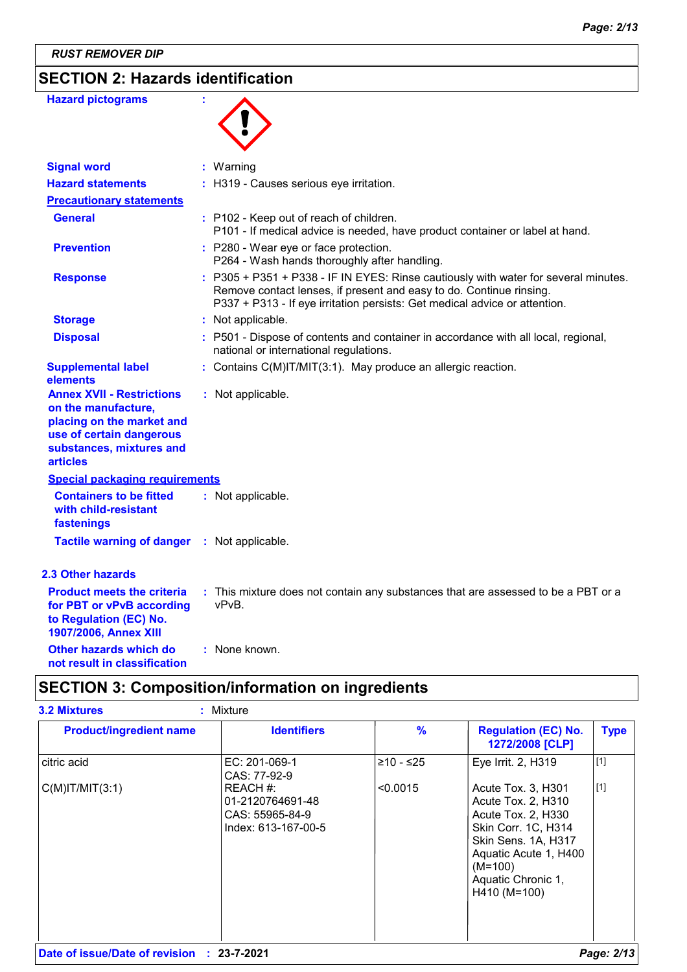*RUST REMOVER DIP*

### **SECTION 2: Hazards identification**

| <b>Hazard pictograms</b>                                                                                                                                        | ÷                                                                                                                                                                                                                                        |
|-----------------------------------------------------------------------------------------------------------------------------------------------------------------|------------------------------------------------------------------------------------------------------------------------------------------------------------------------------------------------------------------------------------------|
| <b>Signal word</b>                                                                                                                                              | : Warning                                                                                                                                                                                                                                |
| <b>Hazard statements</b>                                                                                                                                        | : H319 - Causes serious eye irritation.                                                                                                                                                                                                  |
| <b>Precautionary statements</b>                                                                                                                                 |                                                                                                                                                                                                                                          |
| <b>General</b>                                                                                                                                                  | : P102 - Keep out of reach of children.<br>P101 - If medical advice is needed, have product container or label at hand.                                                                                                                  |
| <b>Prevention</b>                                                                                                                                               | : P280 - Wear eye or face protection.<br>P264 - Wash hands thoroughly after handling.                                                                                                                                                    |
| <b>Response</b>                                                                                                                                                 | : P305 + P351 + P338 - IF IN EYES: Rinse cautiously with water for several minutes.<br>Remove contact lenses, if present and easy to do. Continue rinsing.<br>P337 + P313 - If eye irritation persists: Get medical advice or attention. |
| <b>Storage</b>                                                                                                                                                  | : Not applicable.                                                                                                                                                                                                                        |
| <b>Disposal</b>                                                                                                                                                 | P501 - Dispose of contents and container in accordance with all local, regional,<br>national or international regulations.                                                                                                               |
| <b>Supplemental label</b><br>elements                                                                                                                           | : Contains C(M)IT/MIT(3:1). May produce an allergic reaction.                                                                                                                                                                            |
| <b>Annex XVII - Restrictions</b><br>on the manufacture,<br>placing on the market and<br>use of certain dangerous<br>substances, mixtures and<br><b>articles</b> | : Not applicable.                                                                                                                                                                                                                        |
| <b>Special packaging requirements</b>                                                                                                                           |                                                                                                                                                                                                                                          |
| <b>Containers to be fitted</b><br>with child-resistant<br>fastenings                                                                                            | : Not applicable.                                                                                                                                                                                                                        |
| <b>Tactile warning of danger</b>                                                                                                                                | : Not applicable.                                                                                                                                                                                                                        |
| 2.3 Other hazards                                                                                                                                               |                                                                                                                                                                                                                                          |
| <b>Product meets the criteria</b><br>for PBT or vPvB according<br>to Regulation (EC) No.<br>1907/2006, Annex XIII                                               | : This mixture does not contain any substances that are assessed to be a PBT or a<br>vPvB.                                                                                                                                               |
| Other hazards which do                                                                                                                                          | : None known.                                                                                                                                                                                                                            |

## **not result in classification**

### **SECTION 3: Composition/information on ingredients**

| <b>Product/ingredient name</b> | <b>Identifiers</b>                                                     | $\frac{9}{6}$ | <b>Regulation (EC) No.</b><br>1272/2008 [CLP]                                                                                                                                            | <b>Type</b> |
|--------------------------------|------------------------------------------------------------------------|---------------|------------------------------------------------------------------------------------------------------------------------------------------------------------------------------------------|-------------|
| citric acid                    | EC: 201-069-1<br>CAS: 77-92-9                                          | ≥10 - ≤25     | Eye Irrit. 2, H319                                                                                                                                                                       | [1]         |
| $C(M)$ IT/MIT $(3:1)$          | REACH #:<br>01-2120764691-48<br>CAS: 55965-84-9<br>Index: 613-167-00-5 | < 0.0015      | Acute Tox. 3, H301<br>Acute Tox. 2, H310<br>Acute Tox. 2, H330<br>Skin Corr. 1C, H314<br>Skin Sens. 1A, H317<br>Aquatic Acute 1, H400<br>$(M=100)$<br>Aquatic Chronic 1,<br>H410 (M=100) | $\vert$ [1] |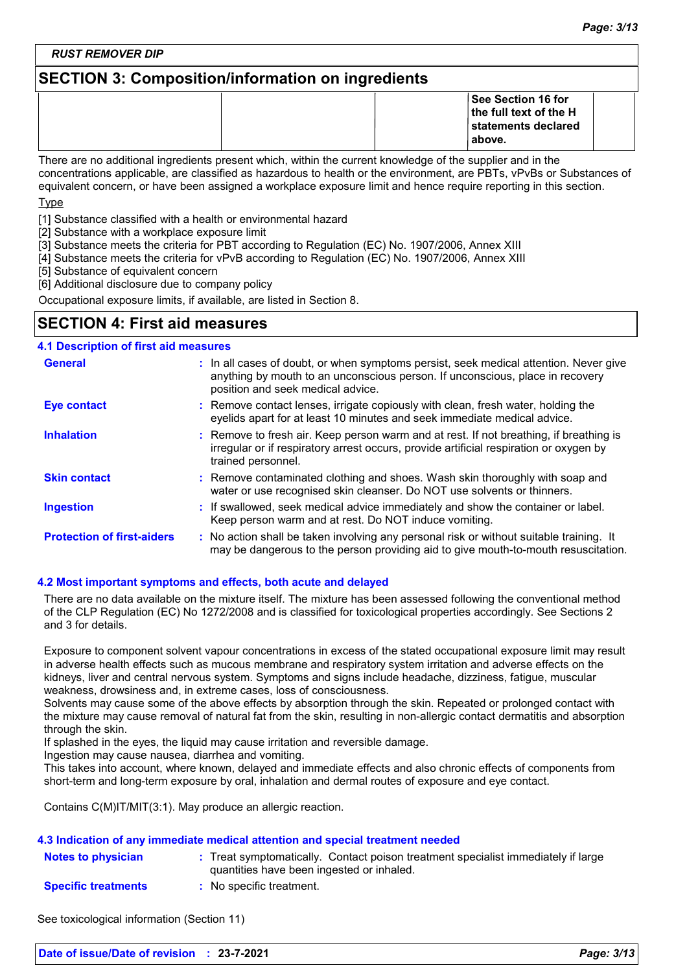*RUST REMOVER DIP*

### **SECTION 3: Composition/information on ingredients**

|                                                                                                           | <b>See Section 16 for</b><br>$\vert$ the full text of the H<br>∣statements declared<br>above. |  |  |
|-----------------------------------------------------------------------------------------------------------|-----------------------------------------------------------------------------------------------|--|--|
| There are no additional ingredients present which within the current knowledge of the supplier and in the |                                                                                               |  |  |

ingredients present which, within the current knowledge of the suppli concentrations applicable, are classified as hazardous to health or the environment, are PBTs, vPvBs or Substances of equivalent concern, or have been assigned a workplace exposure limit and hence require reporting in this section.

Type

[1] Substance classified with a health or environmental hazard

[2] Substance with a workplace exposure limit

[3] Substance meets the criteria for PBT according to Regulation (EC) No. 1907/2006, Annex XIII

[4] Substance meets the criteria for vPvB according to Regulation (EC) No. 1907/2006, Annex XIII

[5] Substance of equivalent concern

[6] Additional disclosure due to company policy

Occupational exposure limits, if available, are listed in Section 8.

### **SECTION 4: First aid measures**

| <b>4.1 Description of first aid measures</b> |                                                                                                                                                                                                             |
|----------------------------------------------|-------------------------------------------------------------------------------------------------------------------------------------------------------------------------------------------------------------|
| <b>General</b>                               | : In all cases of doubt, or when symptoms persist, seek medical attention. Never give<br>anything by mouth to an unconscious person. If unconscious, place in recovery<br>position and seek medical advice. |
| <b>Eye contact</b>                           | : Remove contact lenses, irrigate copiously with clean, fresh water, holding the<br>eyelids apart for at least 10 minutes and seek immediate medical advice.                                                |
| <b>Inhalation</b>                            | : Remove to fresh air. Keep person warm and at rest. If not breathing, if breathing is<br>irregular or if respiratory arrest occurs, provide artificial respiration or oxygen by<br>trained personnel.      |
| <b>Skin contact</b>                          | : Remove contaminated clothing and shoes. Wash skin thoroughly with soap and<br>water or use recognised skin cleanser. Do NOT use solvents or thinners.                                                     |
| <b>Ingestion</b>                             | : If swallowed, seek medical advice immediately and show the container or label.<br>Keep person warm and at rest. Do NOT induce vomiting.                                                                   |
| <b>Protection of first-aiders</b>            | : No action shall be taken involving any personal risk or without suitable training. It<br>may be dangerous to the person providing aid to give mouth-to-mouth resuscitation.                               |

#### **4.2 Most important symptoms and effects, both acute and delayed**

There are no data available on the mixture itself. The mixture has been assessed following the conventional method of the CLP Regulation (EC) No 1272/2008 and is classified for toxicological properties accordingly. See Sections 2 and 3 for details.

Exposure to component solvent vapour concentrations in excess of the stated occupational exposure limit may result in adverse health effects such as mucous membrane and respiratory system irritation and adverse effects on the kidneys, liver and central nervous system. Symptoms and signs include headache, dizziness, fatigue, muscular weakness, drowsiness and, in extreme cases, loss of consciousness.

Solvents may cause some of the above effects by absorption through the skin. Repeated or prolonged contact with the mixture may cause removal of natural fat from the skin, resulting in non-allergic contact dermatitis and absorption through the skin.

If splashed in the eyes, the liquid may cause irritation and reversible damage.

Ingestion may cause nausea, diarrhea and vomiting.

This takes into account, where known, delayed and immediate effects and also chronic effects of components from short-term and long-term exposure by oral, inhalation and dermal routes of exposure and eye contact.

Contains C(M)IT/MIT(3:1). May produce an allergic reaction.

#### **4.3 Indication of any immediate medical attention and special treatment needed**

| <b>Notes to physician</b> | Treat symptomatically. Contact poison treatment specialist immediately if large |
|---------------------------|---------------------------------------------------------------------------------|
|                           | quantities have been ingested or inhaled.                                       |
| <b>Connifictionships</b>  | No anogitia traatmant                                                           |

**Specific treatments :** No specific treatment.

See toxicological information (Section 11)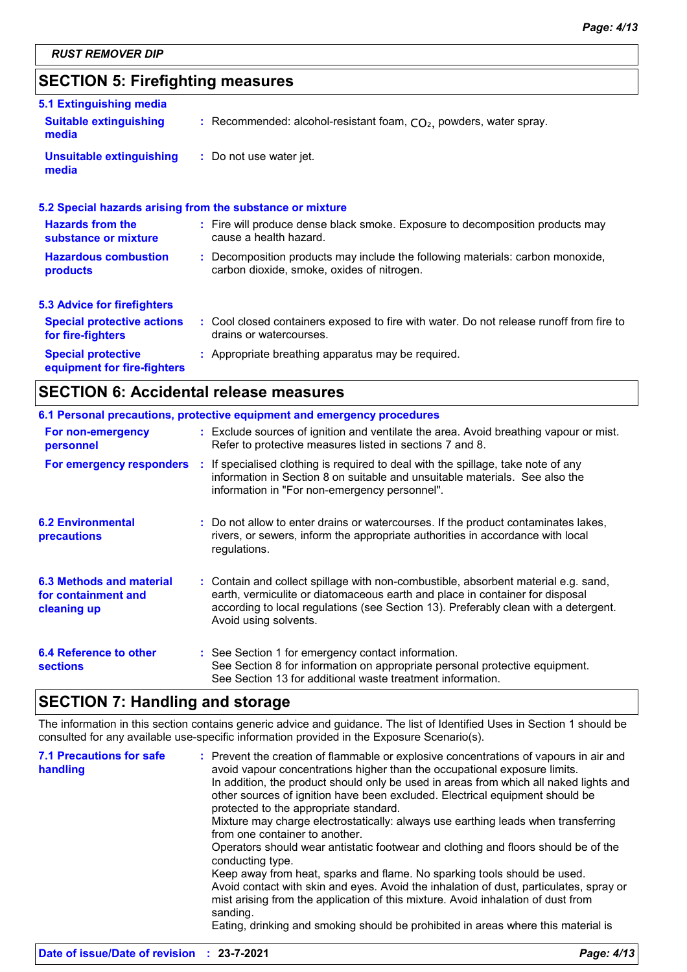### **SECTION 5: Firefighting measures**

| 5.1 Extinguishing media                                  |                                                                                                                              |
|----------------------------------------------------------|------------------------------------------------------------------------------------------------------------------------------|
| <b>Suitable extinguishing</b><br>media                   | : Recommended: alcohol-resistant foam, $CO2$ , powders, water spray.                                                         |
| <b>Unsuitable extinguishing</b><br>media                 | : Do not use water jet.                                                                                                      |
|                                                          | 5.2 Special hazards arising from the substance or mixture                                                                    |
| <b>Hazards from the</b><br>substance or mixture          | : Fire will produce dense black smoke. Exposure to decomposition products may<br>cause a health hazard.                      |
| <b>Hazardous combustion</b><br><b>products</b>           | : Decomposition products may include the following materials: carbon monoxide,<br>carbon dioxide, smoke, oxides of nitrogen. |
| <b>5.3 Advice for firefighters</b>                       |                                                                                                                              |
| <b>Special protective actions</b><br>for fire-fighters   | : Cool closed containers exposed to fire with water. Do not release runoff from fire to<br>drains or watercourses.           |
| <b>Special protective</b><br>equipment for fire-fighters | : Appropriate breathing apparatus may be required.                                                                           |

### **SECTION 6: Accidental release measures**

|                                                                | 6.1 Personal precautions, protective equipment and emergency procedures                                                                                                                                                                                                            |
|----------------------------------------------------------------|------------------------------------------------------------------------------------------------------------------------------------------------------------------------------------------------------------------------------------------------------------------------------------|
| For non-emergency<br>personnel                                 | : Exclude sources of ignition and ventilate the area. Avoid breathing vapour or mist.<br>Refer to protective measures listed in sections 7 and 8.                                                                                                                                  |
| For emergency responders                                       | : If specialised clothing is required to deal with the spillage, take note of any<br>information in Section 8 on suitable and unsuitable materials. See also the<br>information in "For non-emergency personnel".                                                                  |
| <b>6.2 Environmental</b><br>precautions                        | : Do not allow to enter drains or watercourses. If the product contaminates lakes,<br>rivers, or sewers, inform the appropriate authorities in accordance with local<br>regulations.                                                                                               |
| 6.3 Methods and material<br>for containment and<br>cleaning up | : Contain and collect spillage with non-combustible, absorbent material e.g. sand,<br>earth, vermiculite or diatomaceous earth and place in container for disposal<br>according to local regulations (see Section 13). Preferably clean with a detergent.<br>Avoid using solvents. |
| 6.4 Reference to other<br><b>sections</b>                      | : See Section 1 for emergency contact information.<br>See Section 8 for information on appropriate personal protective equipment.<br>See Section 13 for additional waste treatment information.                                                                                    |

### **SECTION 7: Handling and storage**

The information in this section contains generic advice and guidance. The list of Identified Uses in Section 1 should be consulted for any available use-specific information provided in the Exposure Scenario(s).

| <b>7.1 Precautions for safe</b><br>handling | : Prevent the creation of flammable or explosive concentrations of vapours in air and<br>avoid vapour concentrations higher than the occupational exposure limits.<br>In addition, the product should only be used in areas from which all naked lights and<br>other sources of ignition have been excluded. Electrical equipment should be<br>protected to the appropriate standard. |
|---------------------------------------------|---------------------------------------------------------------------------------------------------------------------------------------------------------------------------------------------------------------------------------------------------------------------------------------------------------------------------------------------------------------------------------------|
|                                             | Mixture may charge electrostatically: always use earthing leads when transferring<br>from one container to another.<br>Operators should wear antistatic footwear and clothing and floors should be of the<br>conducting type.                                                                                                                                                         |
|                                             | Keep away from heat, sparks and flame. No sparking tools should be used.<br>Avoid contact with skin and eyes. Avoid the inhalation of dust, particulates, spray or<br>mist arising from the application of this mixture. Avoid inhalation of dust from<br>sanding.<br>Eating, drinking and smoking should be prohibited in areas where this material is                               |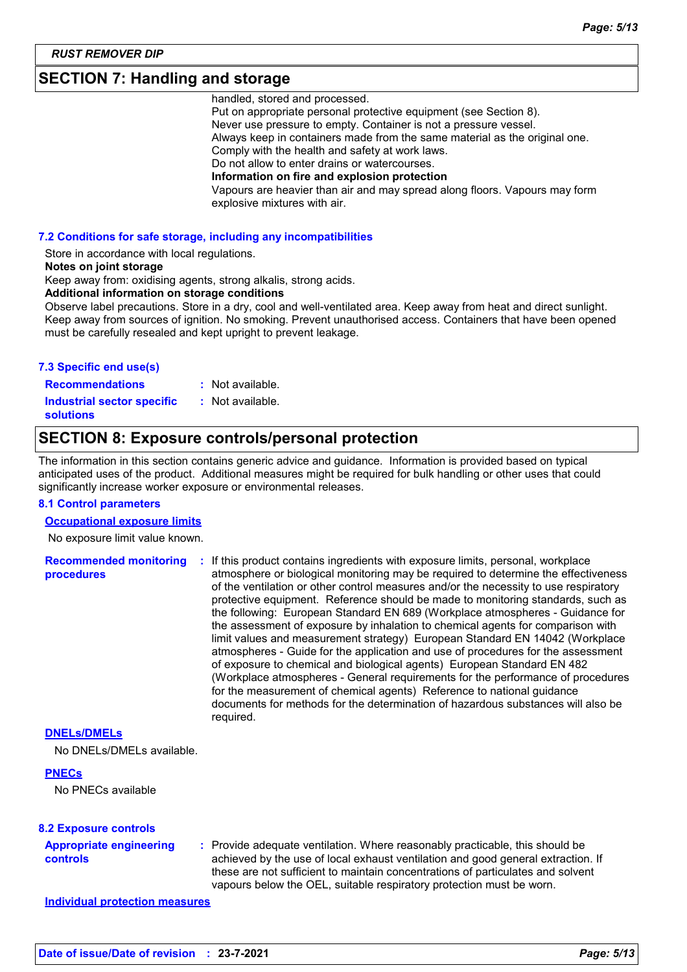### **SECTION 7: Handling and storage**

handled, stored and processed.

Put on appropriate personal protective equipment (see Section 8). Never use pressure to empty. Container is not a pressure vessel. Always keep in containers made from the same material as the original one. Comply with the health and safety at work laws. Do not allow to enter drains or watercourses. **Information on fire and explosion protection** Vapours are heavier than air and may spread along floors. Vapours may form explosive mixtures with air.

#### **7.2 Conditions for safe storage, including any incompatibilities**

Store in accordance with local regulations.

#### **Notes on joint storage**

Keep away from: oxidising agents, strong alkalis, strong acids.

**Additional information on storage conditions**

Observe label precautions. Store in a dry, cool and well-ventilated area. Keep away from heat and direct sunlight. Keep away from sources of ignition. No smoking. Prevent unauthorised access. Containers that have been opened must be carefully resealed and kept upright to prevent leakage.

#### **7.3 Specific end use(s)**

**Recommendations : Industrial sector specific : solutions**

- : Not available.
- : Not available.

### **SECTION 8: Exposure controls/personal protection**

The information in this section contains generic advice and guidance. Information is provided based on typical anticipated uses of the product. Additional measures might be required for bulk handling or other uses that could significantly increase worker exposure or environmental releases.

#### **8.1 Control parameters**

#### **Occupational exposure limits**

No exposure limit value known.

**Recommended monitoring procedures :** If this product contains ingredients with exposure limits, personal, workplace atmosphere or biological monitoring may be required to determine the effectiveness of the ventilation or other control measures and/or the necessity to use respiratory protective equipment. Reference should be made to monitoring standards, such as the following: European Standard EN 689 (Workplace atmospheres - Guidance for the assessment of exposure by inhalation to chemical agents for comparison with limit values and measurement strategy) European Standard EN 14042 (Workplace atmospheres - Guide for the application and use of procedures for the assessment of exposure to chemical and biological agents) European Standard EN 482 (Workplace atmospheres - General requirements for the performance of procedures for the measurement of chemical agents) Reference to national guidance documents for methods for the determination of hazardous substances will also be required.

#### **DNELs/DMELs**

No DNELs/DMELs available.

#### **PNECs**

No PNECs available

#### **8.2 Exposure controls**

#### **Appropriate engineering controls**

**:** Provide adequate ventilation. Where reasonably practicable, this should be achieved by the use of local exhaust ventilation and good general extraction. If these are not sufficient to maintain concentrations of particulates and solvent vapours below the OEL, suitable respiratory protection must be worn.

**Individual protection measures**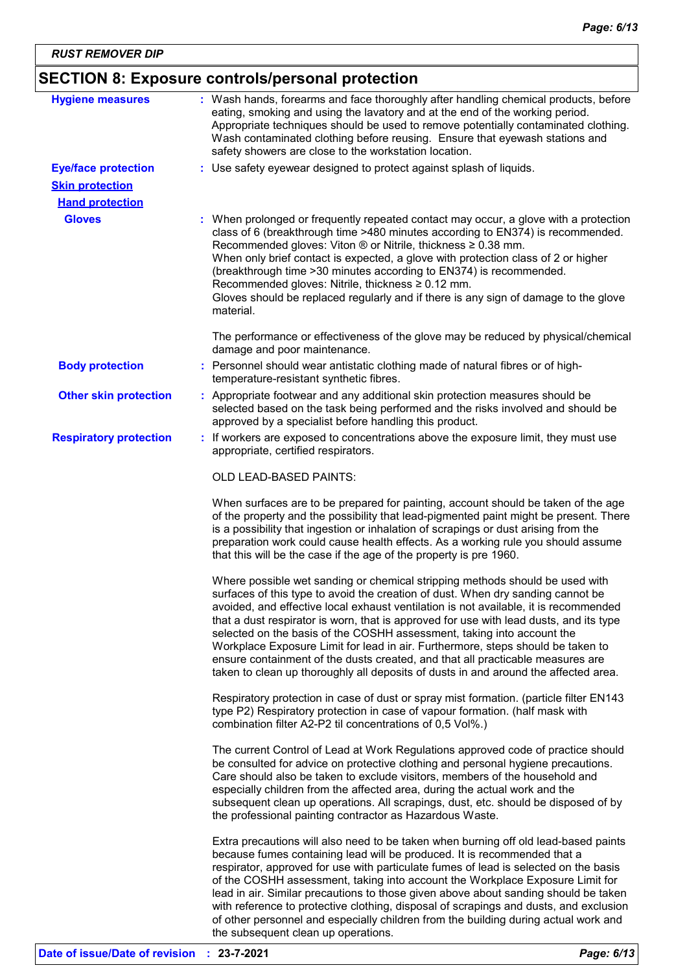### **SECTION 8: Exposure controls/personal protection**

| <b>Hygiene measures</b>                              | : Wash hands, forearms and face thoroughly after handling chemical products, before<br>eating, smoking and using the lavatory and at the end of the working period.<br>Appropriate techniques should be used to remove potentially contaminated clothing.<br>Wash contaminated clothing before reusing. Ensure that eyewash stations and<br>safety showers are close to the workstation location.                                                                                                                                                                                                                                                                                       |
|------------------------------------------------------|-----------------------------------------------------------------------------------------------------------------------------------------------------------------------------------------------------------------------------------------------------------------------------------------------------------------------------------------------------------------------------------------------------------------------------------------------------------------------------------------------------------------------------------------------------------------------------------------------------------------------------------------------------------------------------------------|
| <b>Eye/face protection</b><br><b>Skin protection</b> | : Use safety eyewear designed to protect against splash of liquids.                                                                                                                                                                                                                                                                                                                                                                                                                                                                                                                                                                                                                     |
| <b>Hand protection</b>                               |                                                                                                                                                                                                                                                                                                                                                                                                                                                                                                                                                                                                                                                                                         |
| <b>Gloves</b>                                        | : When prolonged or frequently repeated contact may occur, a glove with a protection<br>class of 6 (breakthrough time >480 minutes according to EN374) is recommended.<br>Recommended gloves: Viton ® or Nitrile, thickness ≥ 0.38 mm.<br>When only brief contact is expected, a glove with protection class of 2 or higher<br>(breakthrough time > 30 minutes according to EN374) is recommended.<br>Recommended gloves: Nitrile, thickness ≥ 0.12 mm.<br>Gloves should be replaced regularly and if there is any sign of damage to the glove<br>material.                                                                                                                             |
|                                                      | The performance or effectiveness of the glove may be reduced by physical/chemical<br>damage and poor maintenance.                                                                                                                                                                                                                                                                                                                                                                                                                                                                                                                                                                       |
| <b>Body protection</b>                               | : Personnel should wear antistatic clothing made of natural fibres or of high-<br>temperature-resistant synthetic fibres.                                                                                                                                                                                                                                                                                                                                                                                                                                                                                                                                                               |
| <b>Other skin protection</b>                         | : Appropriate footwear and any additional skin protection measures should be<br>selected based on the task being performed and the risks involved and should be<br>approved by a specialist before handling this product.                                                                                                                                                                                                                                                                                                                                                                                                                                                               |
| <b>Respiratory protection</b>                        | : If workers are exposed to concentrations above the exposure limit, they must use<br>appropriate, certified respirators.                                                                                                                                                                                                                                                                                                                                                                                                                                                                                                                                                               |
|                                                      | OLD LEAD-BASED PAINTS:                                                                                                                                                                                                                                                                                                                                                                                                                                                                                                                                                                                                                                                                  |
|                                                      | When surfaces are to be prepared for painting, account should be taken of the age<br>of the property and the possibility that lead-pigmented paint might be present. There<br>is a possibility that ingestion or inhalation of scrapings or dust arising from the<br>preparation work could cause health effects. As a working rule you should assume<br>that this will be the case if the age of the property is pre 1960.                                                                                                                                                                                                                                                             |
|                                                      | Where possible wet sanding or chemical stripping methods should be used with<br>surfaces of this type to avoid the creation of dust. When dry sanding cannot be<br>avoided, and effective local exhaust ventilation is not available, it is recommended<br>that a dust respirator is worn, that is approved for use with lead dusts, and its type<br>selected on the basis of the COSHH assessment, taking into account the<br>Workplace Exposure Limit for lead in air. Furthermore, steps should be taken to<br>ensure containment of the dusts created, and that all practicable measures are<br>taken to clean up thoroughly all deposits of dusts in and around the affected area. |
|                                                      | Respiratory protection in case of dust or spray mist formation. (particle filter EN143<br>type P2) Respiratory protection in case of vapour formation. (half mask with<br>combination filter A2-P2 til concentrations of 0,5 Vol%.)                                                                                                                                                                                                                                                                                                                                                                                                                                                     |
|                                                      | The current Control of Lead at Work Regulations approved code of practice should<br>be consulted for advice on protective clothing and personal hygiene precautions.<br>Care should also be taken to exclude visitors, members of the household and<br>especially children from the affected area, during the actual work and the<br>subsequent clean up operations. All scrapings, dust, etc. should be disposed of by<br>the professional painting contractor as Hazardous Waste.                                                                                                                                                                                                     |
|                                                      | Extra precautions will also need to be taken when burning off old lead-based paints<br>because fumes containing lead will be produced. It is recommended that a<br>respirator, approved for use with particulate fumes of lead is selected on the basis<br>of the COSHH assessment, taking into account the Workplace Exposure Limit for<br>lead in air. Similar precautions to those given above about sanding should be taken<br>with reference to protective clothing, disposal of scrapings and dusts, and exclusion<br>of other personnel and especially children from the building during actual work and                                                                         |

the subsequent clean up operations.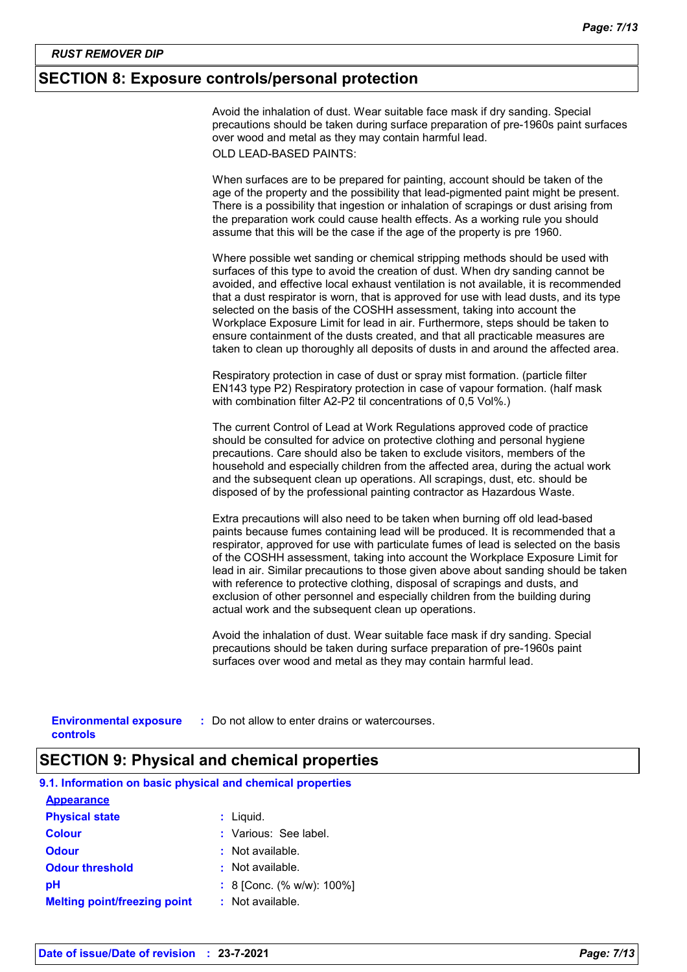### **SECTION 8: Exposure controls/personal protection**

Avoid the inhalation of dust. Wear suitable face mask if dry sanding. Special precautions should be taken during surface preparation of pre-1960s paint surfaces over wood and metal as they may contain harmful lead. OLD LEAD-BASED PAINTS:

When surfaces are to be prepared for painting, account should be taken of the age of the property and the possibility that lead-pigmented paint might be present. There is a possibility that ingestion or inhalation of scrapings or dust arising from the preparation work could cause health effects. As a working rule you should assume that this will be the case if the age of the property is pre 1960.

Where possible wet sanding or chemical stripping methods should be used with surfaces of this type to avoid the creation of dust. When dry sanding cannot be avoided, and effective local exhaust ventilation is not available, it is recommended that a dust respirator is worn, that is approved for use with lead dusts, and its type selected on the basis of the COSHH assessment, taking into account the Workplace Exposure Limit for lead in air. Furthermore, steps should be taken to ensure containment of the dusts created, and that all practicable measures are taken to clean up thoroughly all deposits of dusts in and around the affected area.

Respiratory protection in case of dust or spray mist formation. (particle filter EN143 type P2) Respiratory protection in case of vapour formation. (half mask with combination filter A2-P2 til concentrations of 0,5 Vol%.)

The current Control of Lead at Work Regulations approved code of practice should be consulted for advice on protective clothing and personal hygiene precautions. Care should also be taken to exclude visitors, members of the household and especially children from the affected area, during the actual work and the subsequent clean up operations. All scrapings, dust, etc. should be disposed of by the professional painting contractor as Hazardous Waste.

Extra precautions will also need to be taken when burning off old lead-based paints because fumes containing lead will be produced. It is recommended that a respirator, approved for use with particulate fumes of lead is selected on the basis of the COSHH assessment, taking into account the Workplace Exposure Limit for lead in air. Similar precautions to those given above about sanding should be taken with reference to protective clothing, disposal of scrapings and dusts, and exclusion of other personnel and especially children from the building during actual work and the subsequent clean up operations.

Avoid the inhalation of dust. Wear suitable face mask if dry sanding. Special precautions should be taken during surface preparation of pre-1960s paint surfaces over wood and metal as they may contain harmful lead.

**Environmental exposure : Do not allow to enter drains or watercourses. controls**

### **SECTION 9: Physical and chemical properties**

| 9.1. Information on basic physical and chemical properties |                           |
|------------------------------------------------------------|---------------------------|
| <b>Appearance</b>                                          |                           |
| <b>Physical state</b>                                      | $:$ Liquid.               |
| <b>Colour</b>                                              | : Various: See label.     |
| <b>Odour</b>                                               | : Not available.          |
| <b>Odour threshold</b>                                     | $:$ Not available.        |
| рH                                                         | : 8 [Conc. (% w/w): 100%] |
| <b>Melting point/freezing point</b>                        | : Not available.          |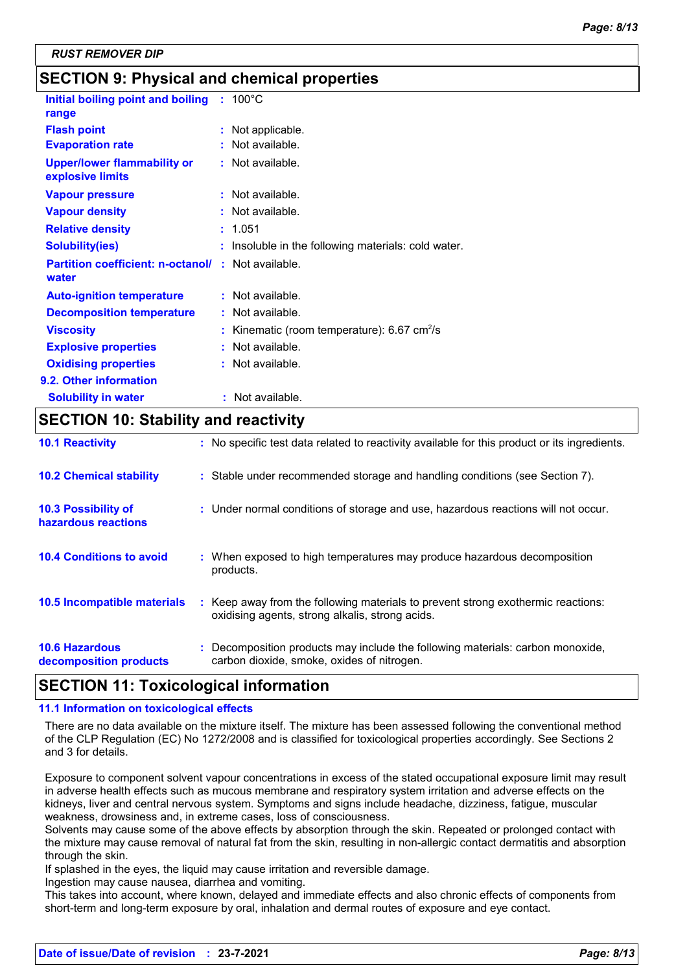### **SECTION 9: Physical and chemical properties**

| Initial boiling point and boiling<br>range                         |    | $: 100^{\circ}$ C                                          |
|--------------------------------------------------------------------|----|------------------------------------------------------------|
| <b>Flash point</b>                                                 |    | Not applicable.                                            |
| <b>Evaporation rate</b>                                            |    | Not available.                                             |
| <b>Upper/lower flammability or</b><br>explosive limits             |    | $:$ Not available.                                         |
| <b>Vapour pressure</b>                                             |    | : Not available.                                           |
| <b>Vapour density</b>                                              |    | Not available.                                             |
| <b>Relative density</b>                                            |    | 1.051                                                      |
| <b>Solubility(ies)</b>                                             |    | Insoluble in the following materials: cold water.          |
| <b>Partition coefficient: n-octanol/ : Not available.</b><br>water |    |                                                            |
| <b>Auto-ignition temperature</b>                                   |    | : Not available.                                           |
| <b>Decomposition temperature</b>                                   |    | : Not available.                                           |
| <b>Viscosity</b>                                                   | t  | Kinematic (room temperature): $6.67 \text{ cm}^2/\text{s}$ |
| <b>Explosive properties</b>                                        | ÷. | Not available.                                             |
| <b>Oxidising properties</b>                                        |    | : Not available.                                           |
| 9.2. Other information                                             |    |                                                            |
| <b>Solubility in water</b>                                         |    | : Not available.                                           |

#### **SECTION 10: Stability and reactivity**

| <b>10.1 Reactivity</b>                            | : No specific test data related to reactivity available for this product or its ingredients.                                        |
|---------------------------------------------------|-------------------------------------------------------------------------------------------------------------------------------------|
| <b>10.2 Chemical stability</b>                    | : Stable under recommended storage and handling conditions (see Section 7).                                                         |
| <b>10.3 Possibility of</b><br>hazardous reactions | : Under normal conditions of storage and use, hazardous reactions will not occur.                                                   |
| <b>10.4 Conditions to avoid</b>                   | : When exposed to high temperatures may produce hazardous decomposition<br>products.                                                |
| 10.5 Incompatible materials                       | : Keep away from the following materials to prevent strong exothermic reactions:<br>oxidising agents, strong alkalis, strong acids. |
| <b>10.6 Hazardous</b><br>decomposition products   | : Decomposition products may include the following materials: carbon monoxide,<br>carbon dioxide, smoke, oxides of nitrogen.        |

#### **SECTION 11: Toxicological information**

#### **11.1 Information on toxicological effects**

There are no data available on the mixture itself. The mixture has been assessed following the conventional method of the CLP Regulation (EC) No 1272/2008 and is classified for toxicological properties accordingly. See Sections 2 and 3 for details.

Exposure to component solvent vapour concentrations in excess of the stated occupational exposure limit may result in adverse health effects such as mucous membrane and respiratory system irritation and adverse effects on the kidneys, liver and central nervous system. Symptoms and signs include headache, dizziness, fatigue, muscular weakness, drowsiness and, in extreme cases, loss of consciousness.

Solvents may cause some of the above effects by absorption through the skin. Repeated or prolonged contact with the mixture may cause removal of natural fat from the skin, resulting in non-allergic contact dermatitis and absorption through the skin.

If splashed in the eyes, the liquid may cause irritation and reversible damage.

Ingestion may cause nausea, diarrhea and vomiting.

This takes into account, where known, delayed and immediate effects and also chronic effects of components from short-term and long-term exposure by oral, inhalation and dermal routes of exposure and eye contact.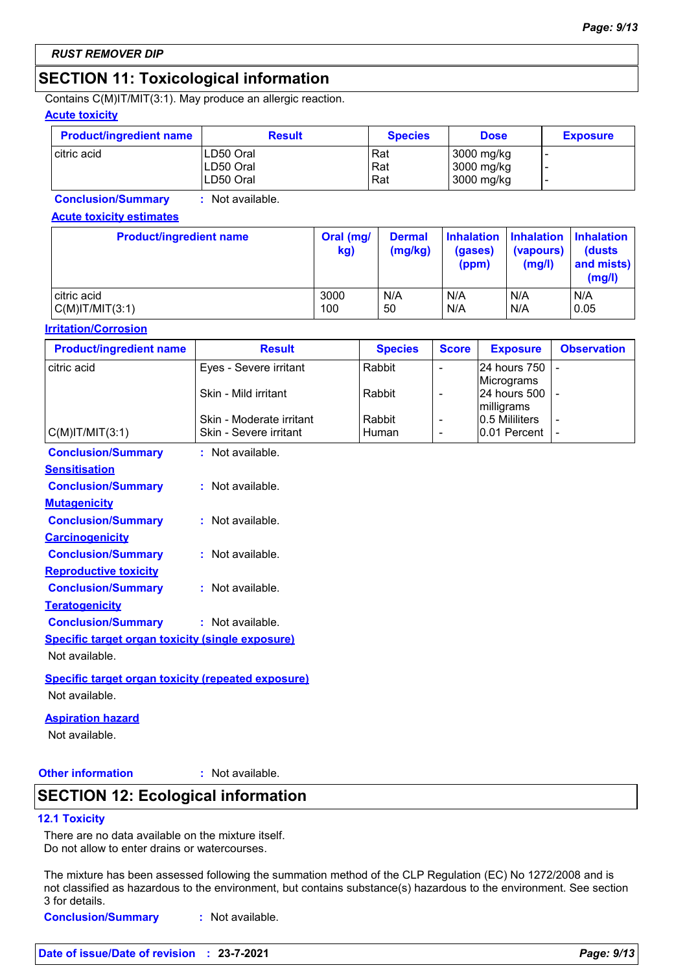### **SECTION 11: Toxicological information**

Contains C(M)IT/MIT(3:1). May produce an allergic reaction.

#### **Acute toxicity**

| <b>Product/ingredient name</b> | <b>Result</b>           | <b>Species</b> | <b>Dose</b>              | <b>Exposure</b> |
|--------------------------------|-------------------------|----------------|--------------------------|-----------------|
| l citric acid                  | ILD50 Oral<br>LD50 Oral | Rat<br>Rat     | 3000 mg/kg<br>3000 mg/kg |                 |
|                                | LD50 Oral               | Rat            | 3000 mg/kg               |                 |

**Conclusion/Summary :** Not available.

#### **Acute toxicity estimates**

| <b>Product/ingredient name</b> | Oral (mg/<br>kg) | <b>Dermal</b><br>(mg/kg) | (gases)<br>(ppm) | Inhalation Inhalation Inhalation<br>(vapours)<br>(mg/l) | <b>(dusts)</b><br>and mists)<br>(mg/l) |
|--------------------------------|------------------|--------------------------|------------------|---------------------------------------------------------|----------------------------------------|
| citric acid                    | 3000             | N/A                      | N/A              | N/A                                                     | N/A                                    |
| $C(M)$ IT/MIT $(3:1)$          | 100              | 50                       | N/A              | N/A                                                     | 0.05                                   |

#### **Irritation/Corrosion**

| <b>Product/ingredient name</b>                            | <b>Result</b>                                      | <b>Species</b> | <b>Score</b>   | <b>Exposure</b> | <b>Observation</b> |
|-----------------------------------------------------------|----------------------------------------------------|----------------|----------------|-----------------|--------------------|
| citric acid                                               | Eyes - Severe irritant                             | Rabbit         | $\blacksquare$ | 24 hours 750    | $\blacksquare$     |
|                                                           |                                                    |                |                | Micrograms      |                    |
|                                                           | Skin - Mild irritant                               | Rabbit         | ۰              | 24 hours 500    |                    |
|                                                           |                                                    |                |                | milligrams      |                    |
|                                                           | Skin - Moderate irritant<br>Skin - Severe irritant | Rabbit         | ٠              | 0.5 Mililiters  |                    |
| $C(M)$ IT/MIT $(3:1)$                                     |                                                    | Human          | ۰              | 0.01 Percent    |                    |
| <b>Conclusion/Summary</b>                                 | : Not available.                                   |                |                |                 |                    |
| <b>Sensitisation</b>                                      |                                                    |                |                |                 |                    |
| <b>Conclusion/Summary</b>                                 | : Not available.                                   |                |                |                 |                    |
| <b>Mutagenicity</b>                                       |                                                    |                |                |                 |                    |
| <b>Conclusion/Summary</b>                                 | : Not available.                                   |                |                |                 |                    |
| <b>Carcinogenicity</b>                                    |                                                    |                |                |                 |                    |
| <b>Conclusion/Summary</b>                                 | : Not available.                                   |                |                |                 |                    |
| <b>Reproductive toxicity</b>                              |                                                    |                |                |                 |                    |
| <b>Conclusion/Summary</b>                                 | : Not available.                                   |                |                |                 |                    |
| <b>Teratogenicity</b>                                     |                                                    |                |                |                 |                    |
| <b>Conclusion/Summary</b>                                 | : Not available.                                   |                |                |                 |                    |
| <b>Specific target organ toxicity (single exposure)</b>   |                                                    |                |                |                 |                    |
| Not available.                                            |                                                    |                |                |                 |                    |
| <b>Specific target organ toxicity (repeated exposure)</b> |                                                    |                |                |                 |                    |
| Not available.                                            |                                                    |                |                |                 |                    |
| <b>Aspiration hazard</b>                                  |                                                    |                |                |                 |                    |

Not available.

**Other information :**

: Not available.

### **SECTION 12: Ecological information**

#### **12.1 Toxicity**

There are no data available on the mixture itself. Do not allow to enter drains or watercourses.

The mixture has been assessed following the summation method of the CLP Regulation (EC) No 1272/2008 and is not classified as hazardous to the environment, but contains substance(s) hazardous to the environment. See section 3 for details.

**Conclusion/Summary :** Not available.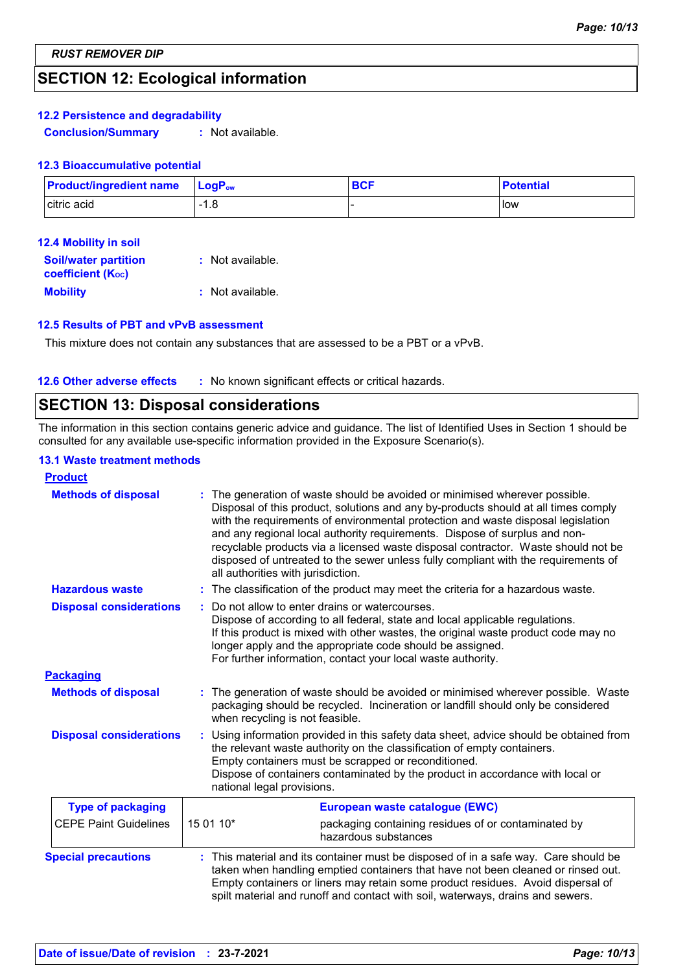### **SECTION 12: Ecological information**

#### **12.2 Persistence and degradability**

**Conclusion/Summary :** Not available.

#### **12.3 Bioaccumulative potential**

| <b>Product/ingredient name</b> | $\mathsf{LoaP}_\mathsf{ow}$ | <b>BCF</b> | <b>Potential</b> |
|--------------------------------|-----------------------------|------------|------------------|
| citric acid                    | ൦<br>-1.0                   |            | l Iow            |

| <b>Soil/water partition</b><br><b>coefficient (K</b> oc) | : Not available. |
|----------------------------------------------------------|------------------|
| <b>Mobility</b>                                          | : Not available. |

#### **12.5 Results of PBT and vPvB assessment**

This mixture does not contain any substances that are assessed to be a PBT or a vPvB.

**12.6 Other adverse effects** : No known significant effects or critical hazards.

### **SECTION 13: Disposal considerations**

The information in this section contains generic advice and guidance. The list of Identified Uses in Section 1 should be consulted for any available use-specific information provided in the Exposure Scenario(s).

#### **13.1 Waste treatment methods**

| <b>Product</b>                 |                                    |                                                                                                                                                                                                                                                                                                                                                                                                                                                                                                                |  |  |
|--------------------------------|------------------------------------|----------------------------------------------------------------------------------------------------------------------------------------------------------------------------------------------------------------------------------------------------------------------------------------------------------------------------------------------------------------------------------------------------------------------------------------------------------------------------------------------------------------|--|--|
| <b>Methods of disposal</b>     | all authorities with jurisdiction. | : The generation of waste should be avoided or minimised wherever possible.<br>Disposal of this product, solutions and any by-products should at all times comply<br>with the requirements of environmental protection and waste disposal legislation<br>and any regional local authority requirements. Dispose of surplus and non-<br>recyclable products via a licensed waste disposal contractor. Waste should not be<br>disposed of untreated to the sewer unless fully compliant with the requirements of |  |  |
| <b>Hazardous waste</b>         |                                    | : The classification of the product may meet the criteria for a hazardous waste.                                                                                                                                                                                                                                                                                                                                                                                                                               |  |  |
| <b>Disposal considerations</b> |                                    | Do not allow to enter drains or watercourses.<br>Dispose of according to all federal, state and local applicable regulations.<br>If this product is mixed with other wastes, the original waste product code may no<br>longer apply and the appropriate code should be assigned.<br>For further information, contact your local waste authority.                                                                                                                                                               |  |  |
| <b>Packaging</b>               |                                    |                                                                                                                                                                                                                                                                                                                                                                                                                                                                                                                |  |  |
| <b>Methods of disposal</b>     | when recycling is not feasible.    | : The generation of waste should be avoided or minimised wherever possible. Waste<br>packaging should be recycled. Incineration or landfill should only be considered                                                                                                                                                                                                                                                                                                                                          |  |  |
| <b>Disposal considerations</b> |                                    | Using information provided in this safety data sheet, advice should be obtained from<br>the relevant waste authority on the classification of empty containers.<br>Empty containers must be scrapped or reconditioned.<br>Dispose of containers contaminated by the product in accordance with local or<br>national legal provisions.                                                                                                                                                                          |  |  |
| <b>Type of packaging</b>       |                                    | European waste catalogue (EWC)                                                                                                                                                                                                                                                                                                                                                                                                                                                                                 |  |  |
| <b>CEPE Paint Guidelines</b>   | 15 01 10*                          | packaging containing residues of or contaminated by<br>hazardous substances                                                                                                                                                                                                                                                                                                                                                                                                                                    |  |  |
| <b>Special precautions</b>     |                                    | : This material and its container must be disposed of in a safe way. Care should be<br>taken when handling emptied containers that have not been cleaned or rinsed out.<br>Empty containers or liners may retain some product residues. Avoid dispersal of<br>spilt material and runoff and contact with soil, waterways, drains and sewers.                                                                                                                                                                   |  |  |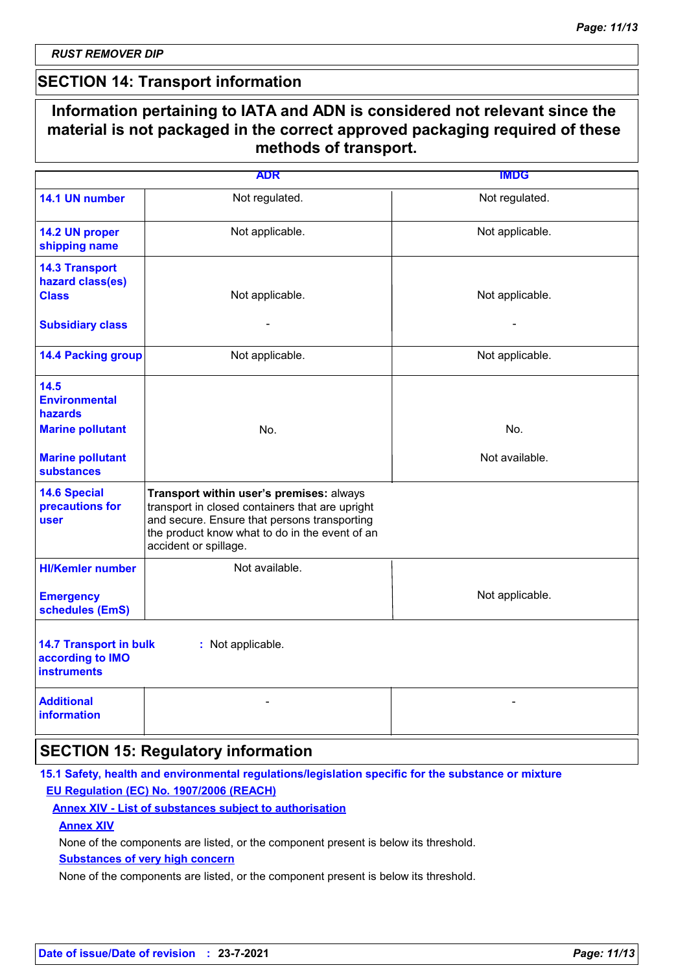### **SECTION 14: Transport information**

### **Information pertaining to IATA and ADN is considered not relevant since the material is not packaged in the correct approved packaging required of these methods of transport.**

|                                                                                                                    | <b>ADR</b>                                                                                                                                                                                                             | <b>IMDG</b>           |
|--------------------------------------------------------------------------------------------------------------------|------------------------------------------------------------------------------------------------------------------------------------------------------------------------------------------------------------------------|-----------------------|
| 14.1 UN number                                                                                                     | Not regulated.                                                                                                                                                                                                         | Not regulated.        |
| 14.2 UN proper<br>shipping name                                                                                    | Not applicable.                                                                                                                                                                                                        | Not applicable.       |
| <b>14.3 Transport</b><br>hazard class(es)<br><b>Class</b><br><b>Subsidiary class</b>                               | Not applicable.<br>$\blacksquare$                                                                                                                                                                                      | Not applicable.       |
| <b>14.4 Packing group</b>                                                                                          | Not applicable.                                                                                                                                                                                                        | Not applicable.       |
| 14.5<br><b>Environmental</b><br>hazards<br><b>Marine pollutant</b><br><b>Marine pollutant</b><br><b>substances</b> | No.                                                                                                                                                                                                                    | No.<br>Not available. |
| <b>14.6 Special</b><br>precautions for<br><b>user</b>                                                              | Transport within user's premises: always<br>transport in closed containers that are upright<br>and secure. Ensure that persons transporting<br>the product know what to do in the event of an<br>accident or spillage. |                       |
| <b>HI/Kemler number</b><br><b>Emergency</b><br>schedules (EmS)                                                     | Not available.                                                                                                                                                                                                         | Not applicable.       |
| <b>14.7 Transport in bulk</b><br>according to IMO<br><b>instruments</b>                                            | : Not applicable.                                                                                                                                                                                                      |                       |
| <b>Additional</b><br><b>information</b>                                                                            |                                                                                                                                                                                                                        |                       |

### **SECTION 15: Regulatory information**

#### **15.1 Safety, health and environmental regulations/legislation specific for the substance or mixture EU Regulation (EC) No. 1907/2006 (REACH)**

#### **Annex XIV - List of substances subject to authorisation**

#### **Annex XIV**

None of the components are listed, or the component present is below its threshold.

#### **Substances of very high concern**

None of the components are listed, or the component present is below its threshold.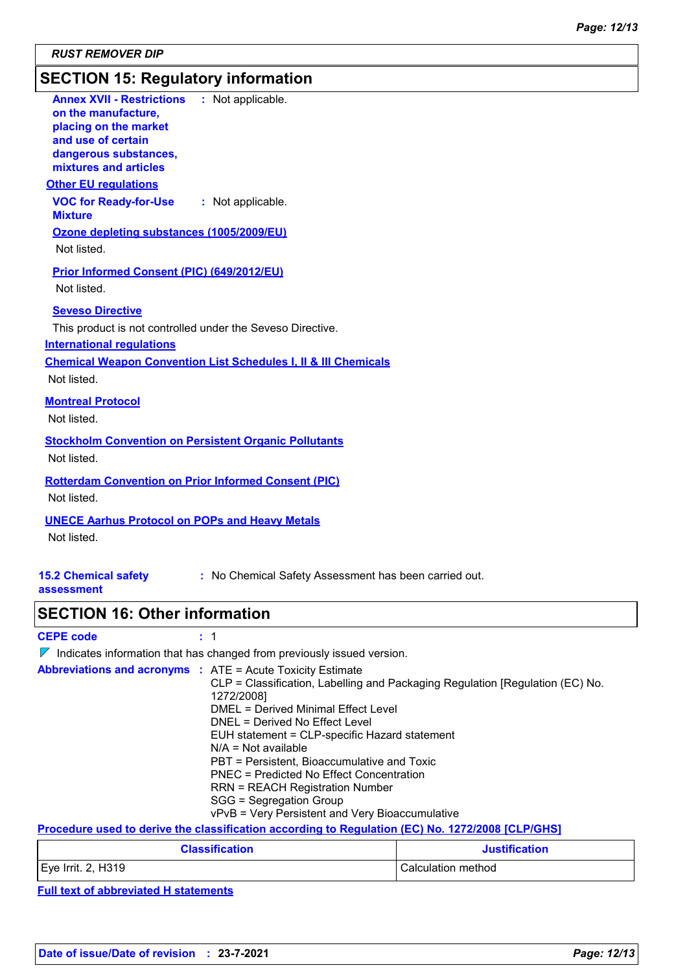### **SECTION 15: Regulatory information**

| <b>Annex XVII - Restrictions : Not applicable.</b><br>on the manufacture,<br>placing on the market<br>and use of certain<br>dangerous substances,<br>mixtures and articles |
|----------------------------------------------------------------------------------------------------------------------------------------------------------------------------|
| <b>Other EU regulations</b>                                                                                                                                                |
| <b>VOC for Ready-for-Use : Not applicable.</b><br><b>Mixture</b>                                                                                                           |
| Ozone depleting substances (1005/2009/EU)                                                                                                                                  |
| Not listed.                                                                                                                                                                |
| Prior Informed Consent (PIC) (649/2012/EU)<br>Not listed.                                                                                                                  |
| <b>Seveso Directive</b>                                                                                                                                                    |
| This product is not controlled under the Seveso Directive.                                                                                                                 |
| <b>International regulations</b>                                                                                                                                           |
| <b>Chemical Weapon Convention List Schedules I, II &amp; III Chemicals</b>                                                                                                 |
| Not listed.                                                                                                                                                                |
| <b>Montreal Protocol</b>                                                                                                                                                   |
| Not listed.                                                                                                                                                                |
| <b>Stockholm Convention on Persistent Organic Pollutants</b><br>Not listed.                                                                                                |
| <b>Rotterdam Convention on Prior Informed Consent (PIC)</b><br>Not listed.                                                                                                 |

#### **UNECE Aarhus Protocol on POPs and Heavy Metals**

Not listed.

#### **15.2 Chemical safety :** No Chemical Safety Assessment has been carried out.

#### **assessment**

### **SECTION 16: Other information**

**CEPE code :** 1

 $\nabla$  Indicates information that has changed from previously issued version.

| <b>Abbreviations and acronyms : ATE = Acute Toxicity Estimate</b> |                                                                               |
|-------------------------------------------------------------------|-------------------------------------------------------------------------------|
|                                                                   | CLP = Classification, Labelling and Packaging Regulation [Regulation (EC) No. |
|                                                                   | 1272/2008]                                                                    |
|                                                                   | DMEL = Derived Minimal Effect Level                                           |
|                                                                   | DNEL = Derived No Effect Level                                                |
|                                                                   | EUH statement = CLP-specific Hazard statement                                 |
|                                                                   | $N/A = Not available$                                                         |
|                                                                   | PBT = Persistent, Bioaccumulative and Toxic                                   |
|                                                                   | <b>PNEC</b> = Predicted No Effect Concentration                               |
|                                                                   | <b>RRN = REACH Registration Number</b>                                        |
|                                                                   | SGG = Segregation Group                                                       |
|                                                                   | vPvB = Very Persistent and Very Bioaccumulative                               |

**Procedure used to derive the classification according to Regulation (EC) No. 1272/2008 [CLP/GHS]**

| <b>Classification</b> | <b>Justification</b> |
|-----------------------|----------------------|
| $Eve$ Irrit. 2, H319  | Calculation method   |

**Full text of abbreviated H statements**